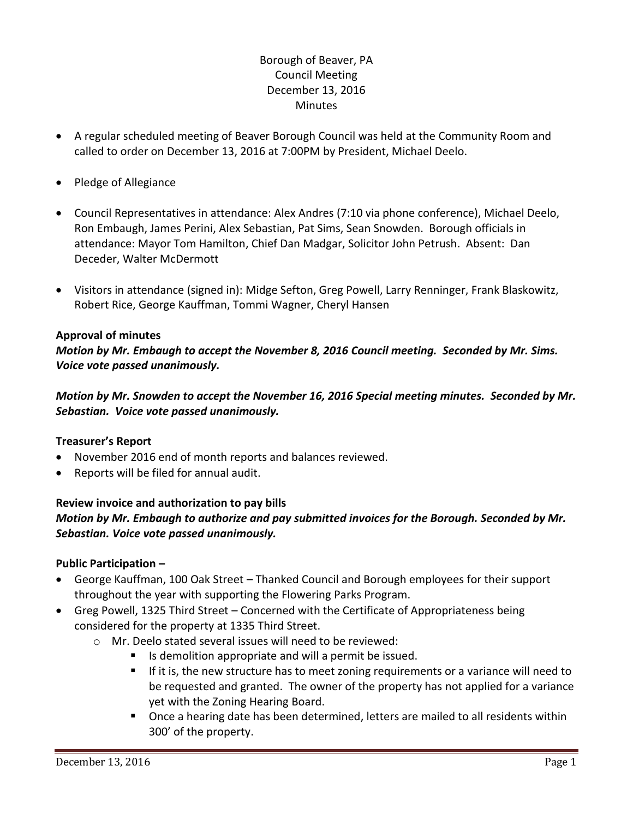# Borough of Beaver, PA Council Meeting December 13, 2016 **Minutes**

- A regular scheduled meeting of Beaver Borough Council was held at the Community Room and called to order on December 13, 2016 at 7:00PM by President, Michael Deelo.
- Pledge of Allegiance
- Council Representatives in attendance: Alex Andres (7:10 via phone conference), Michael Deelo, Ron Embaugh, James Perini, Alex Sebastian, Pat Sims, Sean Snowden. Borough officials in attendance: Mayor Tom Hamilton, Chief Dan Madgar, Solicitor John Petrush. Absent: Dan Deceder, Walter McDermott
- Visitors in attendance (signed in): Midge Sefton, Greg Powell, Larry Renninger, Frank Blaskowitz, Robert Rice, George Kauffman, Tommi Wagner, Cheryl Hansen

# **Approval of minutes**

*Motion by Mr. Embaugh to accept the November 8, 2016 Council meeting. Seconded by Mr. Sims. Voice vote passed unanimously.* 

*Motion by Mr. Snowden to accept the November 16, 2016 Special meeting minutes. Seconded by Mr. Sebastian. Voice vote passed unanimously.* 

## **Treasurer's Report**

- November 2016 end of month reports and balances reviewed.
- Reports will be filed for annual audit.

# **Review invoice and authorization to pay bills** *Motion by Mr. Embaugh to authorize and pay submitted invoices for the Borough. Seconded by Mr. Sebastian. Voice vote passed unanimously.*

## **Public Participation –**

- George Kauffman, 100 Oak Street Thanked Council and Borough employees for their support throughout the year with supporting the Flowering Parks Program.
- Greg Powell, 1325 Third Street Concerned with the Certificate of Appropriateness being considered for the property at 1335 Third Street.
	- o Mr. Deelo stated several issues will need to be reviewed:
		- Is demolition appropriate and will a permit be issued.
		- If it is, the new structure has to meet zoning requirements or a variance will need to be requested and granted. The owner of the property has not applied for a variance yet with the Zoning Hearing Board.
		- **Dearal Deart and Serian** once a hearing date has been determined, letters are mailed to all residents within 300' of the property.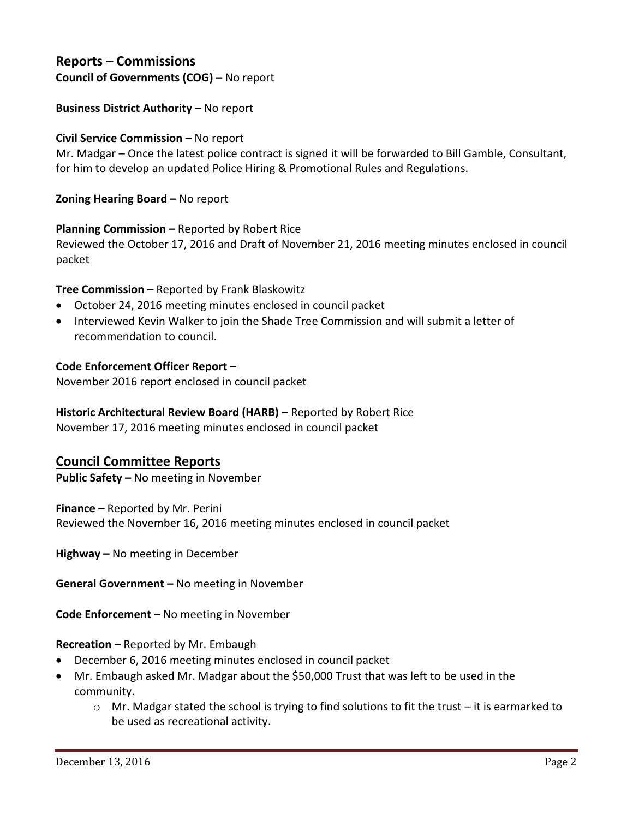# **Reports – Commissions**

**Council of Governments (COG) –** No report

## **Business District Authority – No report**

#### **Civil Service Commission –** No report

Mr. Madgar – Once the latest police contract is signed it will be forwarded to Bill Gamble, Consultant, for him to develop an updated Police Hiring & Promotional Rules and Regulations.

**Zoning Hearing Board –** No report

#### **Planning Commission –** Reported by Robert Rice

Reviewed the October 17, 2016 and Draft of November 21, 2016 meeting minutes enclosed in council packet

## **Tree Commission –** Reported by Frank Blaskowitz

- October 24, 2016 meeting minutes enclosed in council packet
- Interviewed Kevin Walker to join the Shade Tree Commission and will submit a letter of recommendation to council.

#### **Code Enforcement Officer Report –**

November 2016 report enclosed in council packet

# **Historic Architectural Review Board (HARB) –** Reported by Robert Rice

November 17, 2016 meeting minutes enclosed in council packet

## **Council Committee Reports**

**Public Safety –** No meeting in November

**Finance –** Reported by Mr. Perini Reviewed the November 16, 2016 meeting minutes enclosed in council packet

**Highway –** No meeting in December

**General Government –** No meeting in November

**Code Enforcement –** No meeting in November

## **Recreation –** Reported by Mr. Embaugh

- December 6, 2016 meeting minutes enclosed in council packet
- Mr. Embaugh asked Mr. Madgar about the \$50,000 Trust that was left to be used in the community.
	- $\circ$  Mr. Madgar stated the school is trying to find solutions to fit the trust it is earmarked to be used as recreational activity.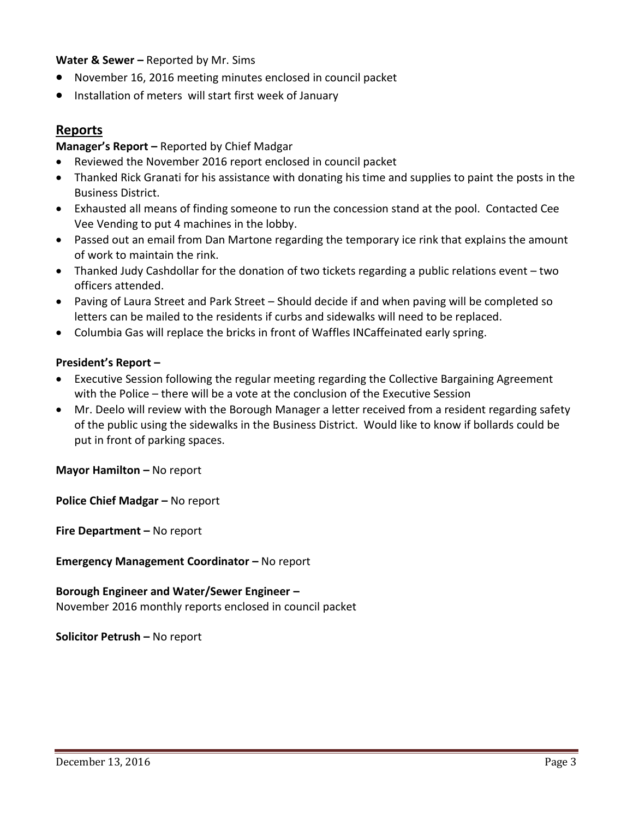# **Water & Sewer –** Reported by Mr. Sims

- November 16, 2016 meeting minutes enclosed in council packet
- **•** Installation of meters will start first week of January

# **Reports**

## **Manager's Report –** Reported by Chief Madgar

- Reviewed the November 2016 report enclosed in council packet
- Thanked Rick Granati for his assistance with donating his time and supplies to paint the posts in the Business District.
- Exhausted all means of finding someone to run the concession stand at the pool. Contacted Cee Vee Vending to put 4 machines in the lobby.
- Passed out an email from Dan Martone regarding the temporary ice rink that explains the amount of work to maintain the rink.
- Thanked Judy Cashdollar for the donation of two tickets regarding a public relations event two officers attended.
- Paving of Laura Street and Park Street Should decide if and when paving will be completed so letters can be mailed to the residents if curbs and sidewalks will need to be replaced.
- Columbia Gas will replace the bricks in front of Waffles INCaffeinated early spring.

## **President's Report –**

- Executive Session following the regular meeting regarding the Collective Bargaining Agreement with the Police – there will be a vote at the conclusion of the Executive Session
- Mr. Deelo will review with the Borough Manager a letter received from a resident regarding safety of the public using the sidewalks in the Business District. Would like to know if bollards could be put in front of parking spaces.

**Mayor Hamilton – No report** 

**Police Chief Madgar - No report** 

**Fire Department –** No report

**Emergency Management Coordinator - No report** 

**Borough Engineer and Water/Sewer Engineer –** November 2016 monthly reports enclosed in council packet

**Solicitor Petrush –** No report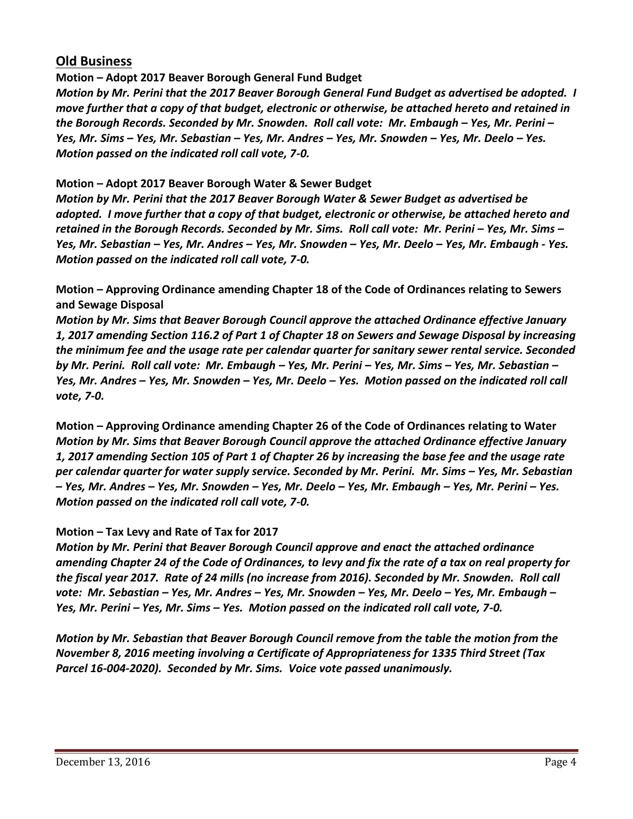# **Old Business**

**Motion – Adopt 2017 Beaver Borough General Fund Budget**

*Motion by Mr. Perini that the 2017 Beaver Borough General Fund Budget as advertised be adopted. I move further that a copy of that budget, electronic or otherwise, be attached hereto and retained in the Borough Records. Seconded by Mr. Snowden. Roll call vote: Mr. Embaugh – Yes, Mr. Perini – Yes, Mr. Sims – Yes, Mr. Sebastian – Yes, Mr. Andres – Yes, Mr. Snowden – Yes, Mr. Deelo – Yes. Motion passed on the indicated roll call vote, 7-0.*

**Motion – Adopt 2017 Beaver Borough Water & Sewer Budget**

*Motion by Mr. Perini that the 2017 Beaver Borough Water & Sewer Budget as advertised be adopted. I move further that a copy of that budget, electronic or otherwise, be attached hereto and retained in the Borough Records. Seconded by Mr. Sims. Roll call vote: Mr. Perini – Yes, Mr. Sims – Yes, Mr. Sebastian – Yes, Mr. Andres – Yes, Mr. Snowden – Yes, Mr. Deelo – Yes, Mr. Embaugh - Yes. Motion passed on the indicated roll call vote, 7-0.*

**Motion – Approving Ordinance amending Chapter 18 of the Code of Ordinances relating to Sewers and Sewage Disposal**

*Motion by Mr. Sims that Beaver Borough Council approve the attached Ordinance effective January 1, 2017 amending Section 116.2 of Part 1 of Chapter 18 on Sewers and Sewage Disposal by increasing the minimum fee and the usage rate per calendar quarter for sanitary sewer rental service. Seconded by Mr. Perini. Roll call vote: Mr. Embaugh – Yes, Mr. Perini – Yes, Mr. Sims – Yes, Mr. Sebastian – Yes, Mr. Andres – Yes, Mr. Snowden – Yes, Mr. Deelo – Yes. Motion passed on the indicated roll call vote, 7-0.*

**Motion – Approving Ordinance amending Chapter 26 of the Code of Ordinances relating to Water** *Motion by Mr. Sims that Beaver Borough Council approve the attached Ordinance effective January 1, 2017 amending Section 105 of Part 1 of Chapter 26 by increasing the base fee and the usage rate per calendar quarter for water supply service. Seconded by Mr. Perini. Mr. Sims – Yes, Mr. Sebastian – Yes, Mr. Andres – Yes, Mr. Snowden – Yes, Mr. Deelo – Yes, Mr. Embaugh – Yes, Mr. Perini – Yes. Motion passed on the indicated roll call vote, 7-0.*

# **Motion – Tax Levy and Rate of Tax for 2017**

*Motion by Mr. Perini that Beaver Borough Council approve and enact the attached ordinance amending Chapter 24 of the Code of Ordinances, to levy and fix the rate of a tax on real property for the fiscal year 2017. Rate of 24 mills (no increase from 2016). Seconded by Mr. Snowden. Roll call vote: Mr. Sebastian – Yes, Mr. Andres – Yes, Mr. Snowden – Yes, Mr. Deelo – Yes, Mr. Embaugh – Yes, Mr. Perini – Yes, Mr. Sims – Yes. Motion passed on the indicated roll call vote, 7-0.*

*Motion by Mr. Sebastian that Beaver Borough Council remove from the table the motion from the November 8, 2016 meeting involving a Certificate of Appropriateness for 1335 Third Street (Tax Parcel 16-004-2020). Seconded by Mr. Sims. Voice vote passed unanimously.*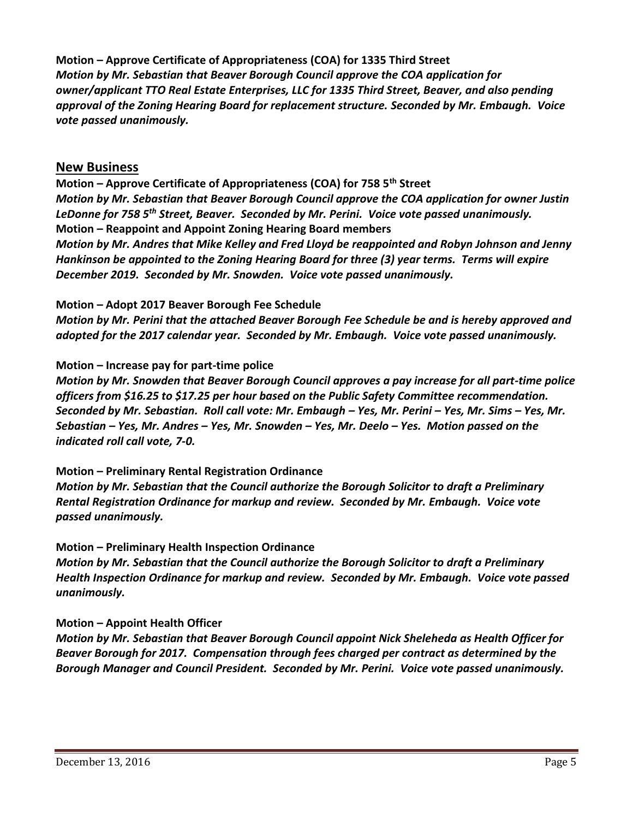**Motion – Approve Certificate of Appropriateness (COA) for 1335 Third Street**  *Motion by Mr. Sebastian that Beaver Borough Council approve the COA application for owner/applicant TTO Real Estate Enterprises, LLC for 1335 Third Street, Beaver, and also pending approval of the Zoning Hearing Board for replacement structure. Seconded by Mr. Embaugh. Voice vote passed unanimously.*

# **New Business**

**Motion – Approve Certificate of Appropriateness (COA) for 758 5th Street** *Motion by Mr. Sebastian that Beaver Borough Council approve the COA application for owner Justin LeDonne for 758 5th Street, Beaver. Seconded by Mr. Perini. Voice vote passed unanimously.* **Motion – Reappoint and Appoint Zoning Hearing Board members** *Motion by Mr. Andres that Mike Kelley and Fred Lloyd be reappointed and Robyn Johnson and Jenny Hankinson be appointed to the Zoning Hearing Board for three (3) year terms. Terms will expire December 2019. Seconded by Mr. Snowden. Voice vote passed unanimously.*

## **Motion – Adopt 2017 Beaver Borough Fee Schedule**

*Motion by Mr. Perini that the attached Beaver Borough Fee Schedule be and is hereby approved and adopted for the 2017 calendar year. Seconded by Mr. Embaugh. Voice vote passed unanimously.*

# **Motion – Increase pay for part-time police**

*Motion by Mr. Snowden that Beaver Borough Council approves a pay increase for all part-time police officers from \$16.25 to \$17.25 per hour based on the Public Safety Committee recommendation. Seconded by Mr. Sebastian. Roll call vote: Mr. Embaugh – Yes, Mr. Perini – Yes, Mr. Sims – Yes, Mr. Sebastian – Yes, Mr. Andres – Yes, Mr. Snowden – Yes, Mr. Deelo – Yes. Motion passed on the indicated roll call vote, 7-0.*

## **Motion – Preliminary Rental Registration Ordinance**

*Motion by Mr. Sebastian that the Council authorize the Borough Solicitor to draft a Preliminary Rental Registration Ordinance for markup and review. Seconded by Mr. Embaugh. Voice vote passed unanimously.*

## **Motion – Preliminary Health Inspection Ordinance**

*Motion by Mr. Sebastian that the Council authorize the Borough Solicitor to draft a Preliminary Health Inspection Ordinance for markup and review. Seconded by Mr. Embaugh. Voice vote passed unanimously.*

# **Motion – Appoint Health Officer**

*Motion by Mr. Sebastian that Beaver Borough Council appoint Nick Sheleheda as Health Officer for Beaver Borough for 2017. Compensation through fees charged per contract as determined by the Borough Manager and Council President. Seconded by Mr. Perini. Voice vote passed unanimously.*